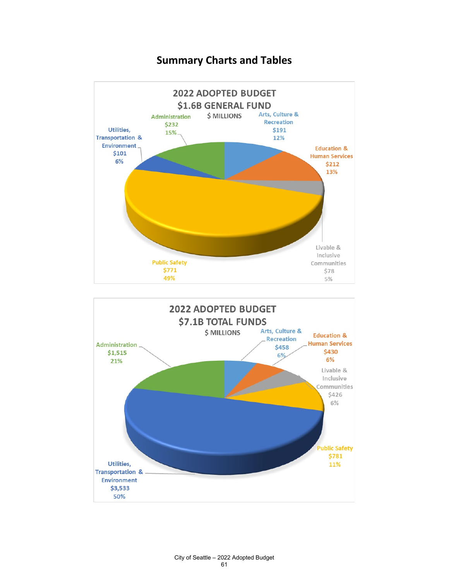

#### **Summary Charts and Tables**

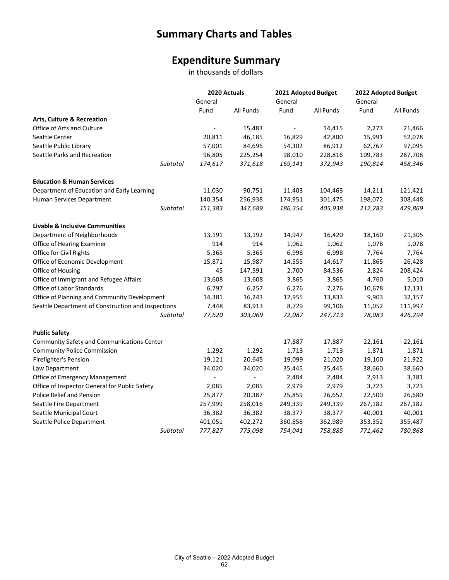# **Summary Charts and Tables**

## **Expenditure Summary**

in thousands of dollars

|                                                    | 2020 Actuals<br>General  |           | 2021 Adopted Budget<br>General |           | 2022 Adopted Budget<br>General |           |
|----------------------------------------------------|--------------------------|-----------|--------------------------------|-----------|--------------------------------|-----------|
|                                                    |                          |           |                                |           |                                |           |
|                                                    | Fund                     | All Funds | Fund                           | All Funds | Fund                           | All Funds |
| Arts, Culture & Recreation                         |                          |           |                                |           |                                |           |
| Office of Arts and Culture                         |                          | 15,483    | $\blacksquare$                 | 14,415    | 2,273                          | 21,466    |
| Seattle Center                                     | 20,811                   | 46,185    | 16,829                         | 42,800    | 15,991                         | 52,078    |
| Seattle Public Library                             | 57,001                   | 84,696    | 54,302                         | 86,912    | 62,767                         | 97,095    |
| Seattle Parks and Recreation                       | 96,805                   | 225,254   | 98,010                         | 228,816   | 109,783                        | 287,708   |
| Subtotal                                           | 174,617                  | 371,618   | 169,141                        | 372,943   | 190,814                        | 458,346   |
| <b>Education &amp; Human Services</b>              |                          |           |                                |           |                                |           |
| Department of Education and Early Learning         | 11,030                   | 90,751    | 11,403                         | 104,463   | 14,211                         | 121,421   |
| Human Services Department                          | 140,354                  | 256,938   | 174,951                        | 301,475   | 198,072                        | 308,448   |
| Subtotal                                           | 151,383                  | 347,689   | 186,354                        | 405,938   | 212,283                        | 429,869   |
| <b>Livable &amp; Inclusive Communities</b>         |                          |           |                                |           |                                |           |
| Department of Neighborhoods                        | 13,191                   | 13,192    | 14,947                         | 16,420    | 18,160                         | 21,305    |
| Office of Hearing Examiner                         | 914                      | 914       | 1,062                          | 1,062     | 1,078                          | 1,078     |
| Office for Civil Rights                            | 5,365                    | 5,365     | 6,998                          | 6,998     | 7,764                          | 7,764     |
| Office of Economic Development                     | 15,871                   | 15,987    | 14,555                         | 14,617    | 11,865                         | 26,428    |
| Office of Housing                                  | 45                       | 147,591   | 2,700                          | 84,536    | 2,824                          | 208,424   |
| Office of Immigrant and Refugee Affairs            | 13,608                   | 13,608    | 3,865                          | 3,865     | 4,760                          | 5,010     |
| Office of Labor Standards                          | 6,797                    | 6,257     | 6,276                          | 7,276     | 10,678                         | 12,131    |
| Office of Planning and Community Development       | 14,381                   | 16,243    | 12,955                         | 13,833    | 9,903                          | 32,157    |
| Seattle Department of Construction and Inspections | 7,448                    | 83,913    | 8,729                          | 99,106    | 11,052                         | 111,997   |
| Subtotal                                           | 77,620                   | 303,069   | 72,087                         | 247,713   | 78,083                         | 426,294   |
| <b>Public Safety</b>                               |                          |           |                                |           |                                |           |
| Community Safety and Communications Center         |                          |           | 17,887                         | 17,887    | 22,161                         | 22,161    |
| <b>Community Police Commission</b>                 | 1,292                    | 1,292     | 1,713                          | 1,713     | 1,871                          | 1,871     |
| Firefighter's Pension                              | 19,121                   | 20,645    | 19,099                         | 21,020    | 19,100                         | 21,922    |
| Law Department                                     | 34,020                   | 34,020    | 35,445                         | 35,445    | 38,660                         | 38,660    |
| Office of Emergency Management                     | $\overline{\phantom{a}}$ |           | 2,484                          | 2,484     | 2,913                          | 3,181     |
| Office of Inspector General for Public Safety      | 2,085                    | 2,085     | 2,979                          | 2,979     | 3,723                          | 3,723     |
| Police Relief and Pension                          | 25,877                   | 20,387    | 25,859                         | 26,652    | 22,500                         | 26,680    |
| Seattle Fire Department                            | 257,999                  | 258,016   | 249,339                        | 249,339   | 267,182                        | 267,182   |
| Seattle Municipal Court                            | 36,382                   | 36,382    | 38,377                         | 38,377    | 40,001                         | 40,001    |
| Seattle Police Department                          | 401,051                  | 402,272   | 360,858                        | 362,989   | 353,352                        | 355,487   |
| Subtotal                                           | 777,827                  | 775,098   | 754,041                        | 758,885   | 771,462                        | 780,868   |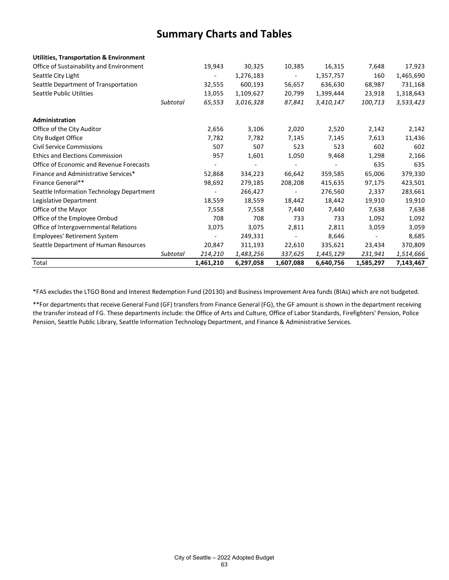### **Summary Charts and Tables**

| <b>Utilities, Transportation &amp; Environment</b> |          |           |           |                          |           |           |           |
|----------------------------------------------------|----------|-----------|-----------|--------------------------|-----------|-----------|-----------|
| Office of Sustainability and Environment           |          | 19,943    | 30,325    | 10,385                   | 16,315    | 7,648     | 17,923    |
| Seattle City Light                                 |          |           | 1,276,183 |                          | 1,357,757 | 160       | 1,465,690 |
| Seattle Department of Transportation               |          | 32,555    | 600,193   | 56,657                   | 636,630   | 68,987    | 731,168   |
| <b>Seattle Public Utilities</b>                    |          | 13,055    | 1,109,627 | 20,799                   | 1,399,444 | 23,918    | 1,318,643 |
|                                                    | Subtotal | 65,553    | 3,016,328 | 87,841                   | 3,410,147 | 100,713   | 3,533,423 |
| Administration                                     |          |           |           |                          |           |           |           |
| Office of the City Auditor                         |          | 2,656     | 3,106     | 2,020                    | 2,520     | 2,142     | 2,142     |
| City Budget Office                                 |          | 7,782     | 7,782     | 7,145                    | 7,145     | 7,613     | 11,436    |
| <b>Civil Service Commissions</b>                   |          | 507       | 507       | 523                      | 523       | 602       | 602       |
| <b>Ethics and Elections Commission</b>             |          | 957       | 1,601     | 1,050                    | 9,468     | 1,298     | 2,166     |
| Office of Economic and Revenue Forecasts           |          |           |           |                          |           | 635       | 635       |
| Finance and Administrative Services*               |          | 52,868    | 334,223   | 66,642                   | 359,585   | 65,006    | 379,330   |
| Finance General**                                  |          | 98,692    | 279,185   | 208,208                  | 415,635   | 97,175    | 423,501   |
| Seattle Information Technology Department          |          |           | 266,427   | $\overline{\phantom{a}}$ | 276,560   | 2,337     | 283,661   |
| Legislative Department                             |          | 18,559    | 18,559    | 18,442                   | 18,442    | 19,910    | 19,910    |
| Office of the Mayor                                |          | 7,558     | 7,558     | 7,440                    | 7,440     | 7,638     | 7,638     |
| Office of the Employee Ombud                       |          | 708       | 708       | 733                      | 733       | 1,092     | 1,092     |
| Office of Intergovernmental Relations              |          | 3,075     | 3,075     | 2,811                    | 2,811     | 3,059     | 3,059     |
| <b>Employees' Retirement System</b>                |          |           | 249,331   |                          | 8,646     |           | 8,685     |
| Seattle Department of Human Resources              |          | 20,847    | 311,193   | 22,610                   | 335,621   | 23,434    | 370,809   |
|                                                    | Subtotal | 214,210   | 1,483,256 | 337,625                  | 1,445,129 | 231,941   | 1,514,666 |
| Total                                              |          | 1,461,210 | 6,297,058 | 1,607,088                | 6,640,756 | 1,585,297 | 7,143,467 |

\*FAS excludes the LTGO Bond and Interest Redemption Fund (20130) and Business Improvement Area funds (BIAs) which are not budgeted.

\*\*For departments that receive General Fund (GF) transfers from Finance General (FG), the GF amount is shown in the department receiving the transfer instead of FG. These departments include: the Office of Arts and Culture, Office of Labor Standards, Firefighters' Pension, Police Pension, Seattle Public Library, Seattle Information Technology Department, and Finance & Administrative Services.